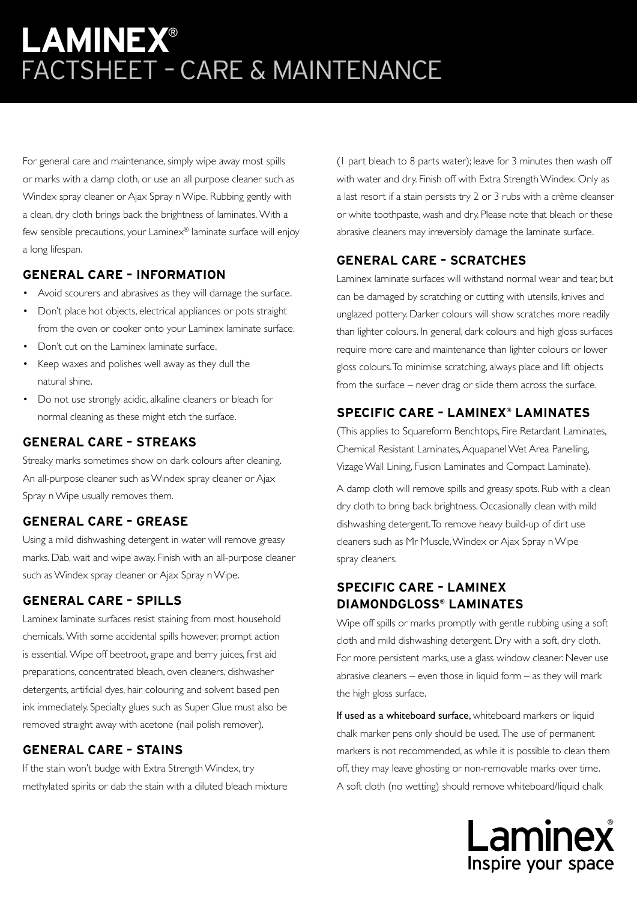# **LAMINEX**® FACTSHEET – CARE & MAINTENANCE

For general care and maintenance, simply wipe away most spills or marks with a damp cloth, or use an all purpose cleaner such as Windex spray cleaner or Ajax Spray n Wipe. Rubbing gently with a clean, dry cloth brings back the brightness of laminates. With a few sensible precautions, your Laminex® laminate surface will enjoy a long lifespan.

### **GENERAL CARE – INFORMATION**

- Avoid scourers and abrasives as they will damage the surface.
- Don't place hot objects, electrical appliances or pots straight from the oven or cooker onto your Laminex laminate surface.
- Don't cut on the Laminex laminate surface.
- Keep waxes and polishes well away as they dull the natural shine.
- Do not use strongly acidic, alkaline cleaners or bleach for normal cleaning as these might etch the surface.

#### **GENERAL CARE – STREAKS**

Streaky marks sometimes show on dark colours after cleaning. An all-purpose cleaner such as Windex spray cleaner or Ajax Spray n Wipe usually removes them.

#### **GENERAL CARE – GREASE**

Using a mild dishwashing detergent in water will remove greasy marks. Dab, wait and wipe away. Finish with an all-purpose cleaner such as Windex spray cleaner or Ajax Spray n Wipe.

### **GENERAL CARE – SPILLS**

Laminex laminate surfaces resist staining from most household chemicals. With some accidental spills however, prompt action is essential. Wipe off beetroot, grape and berry juices, first aid preparations, concentrated bleach, oven cleaners, dishwasher detergents, artificial dyes, hair colouring and solvent based pen ink immediately. Specialty glues such as Super Glue must also be removed straight away with acetone (nail polish remover).

### **GENERAL CARE – STAINS**

If the stain won't budge with Extra Strength Windex, try methylated spirits or dab the stain with a diluted bleach mixture (1 part bleach to 8 parts water); leave for 3 minutes then wash off with water and dry. Finish off with Extra Strength Windex. Only as a last resort if a stain persists try 2 or 3 rubs with a crème cleanser or white toothpaste, wash and dry. Please note that bleach or these abrasive cleaners may irreversibly damage the laminate surface.

### **GENERAL CARE – SCRATCHES**

Laminex laminate surfaces will withstand normal wear and tear, but can be damaged by scratching or cutting with utensils, knives and unglazed pottery. Darker colours will show scratches more readily than lighter colours. In general, dark colours and high gloss surfaces require more care and maintenance than lighter colours or lower gloss colours. To minimise scratching, always place and lift objects from the surface – never drag or slide them across the surface.

### **SPECIFIC CARE – LAMINEX® LAMINATES**

(This applies to Squareform Benchtops, Fire Retardant Laminates, Chemical Resistant Laminates, Aquapanel Wet Area Panelling, Vizage Wall Lining, Fusion Laminates and Compact Laminate).

A damp cloth will remove spills and greasy spots. Rub with a clean dry cloth to bring back brightness. Occasionally clean with mild dishwashing detergent. To remove heavy build-up of dirt use cleaners such as Mr Muscle, Windex or Ajax Spray n Wipe spray cleaners.

### **SPECIFIC CARE – LAMINEX DIAMONDGLOSS® LAMINATES**

Wipe off spills or marks promptly with gentle rubbing using a soft cloth and mild dishwashing detergent. Dry with a soft, dry cloth. For more persistent marks, use a glass window cleaner. Never use abrasive cleaners – even those in liquid form – as they will mark the high gloss surface.

If used as a whiteboard surface, whiteboard markers or liquid chalk marker pens only should be used. The use of permanent markers is not recommended, as while it is possible to clean them off, they may leave ghosting or non-removable marks over time. A soft cloth (no wetting) should remove whiteboard/liquid chalk